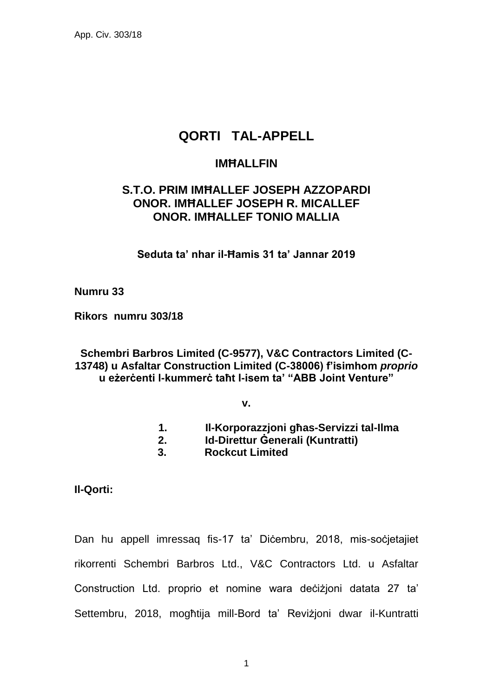# **QORTI TAL-APPELL**

## **IMĦALLFIN**

## **S.T.O. PRIM IMĦALLEF JOSEPH AZZOPARDI ONOR. IMĦALLEF JOSEPH R. MICALLEF ONOR. IMĦALLEF TONIO MALLIA**

**Seduta ta' nhar il-Ħamis 31 ta' Jannar 2019**

#### **Numru 33**

**Rikors numru 303/18** 

## **Schembri Barbros Limited (C-9577), V&C Contractors Limited (C-13748) u Asfaltar Construction Limited (C-38006) f'isimhom** *proprio* **u eżerċenti l-kummerċ taħt l-isem ta' "ABB Joint Venture"**

**v.**

- **1. Il-Korporazzjoni għas-Servizzi tal-Ilma**
- **2. Id-Direttur Ġenerali (Kuntratti)**
- **3. Rockcut Limited**

**Il-Qorti:**

Dan hu appell imressaq fis-17 ta' Diċembru, 2018, mis-soċjetajiet rikorrenti Schembri Barbros Ltd., V&C Contractors Ltd. u Asfaltar Construction Ltd. proprio et nomine wara deċiżjoni datata 27 ta' Settembru, 2018, mogħtija mill-Bord ta' Reviżjoni dwar il-Kuntratti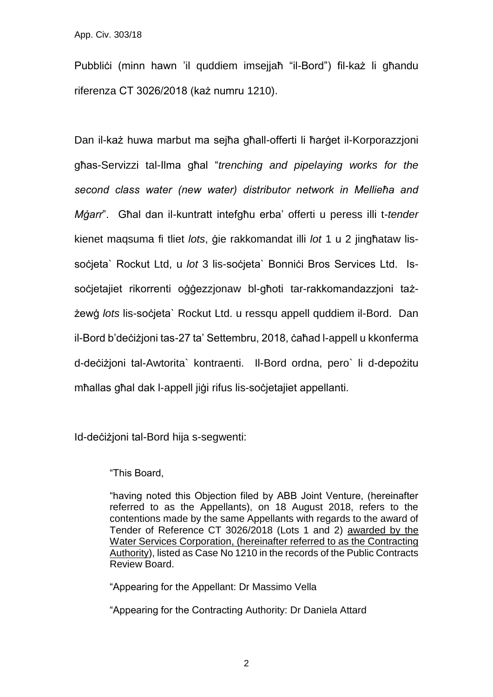Pubblići (minn hawn 'il quddiem imsejjaħ "il-Bord") fil-każ li għandu riferenza CT 3026/2018 (każ numru 1210).

Dan il-każ huwa marbut ma sejħa għall-offerti li ħarġet il-Korporazzjoni għas-Servizzi tal-Ilma għal "*trenching and pipelaying works for the second class water (new water) distributor network in Mellieħa and Mġarr*". Għal dan il-kuntratt intefgħu erba' offerti u peress illi t-*tender* kienet maqsuma fi tliet *lots*, ġie rakkomandat illi *lot* 1 u 2 jingħataw lissocieta` Rockut Ltd, u *lot* 3 lis-societa` Bonnici Bros Services Ltd. Issoċjetajiet rikorrenti oġġezzjonaw bl-għoti tar-rakkomandazzjoni tażżewġ *lots* lis-soċjeta` Rockut Ltd. u ressqu appell quddiem il-Bord. Dan il-Bord b'deċiżjoni tas-27 ta' Settembru, 2018, ċaħad l-appell u kkonferma d-deċiżjoni tal-Awtorita` kontraenti. Il-Bord ordna, pero` li d-depożitu mħallas għal dak l-appell jiġi rifus lis-soċjetajiet appellanti.

Id-deċiżjoni tal-Bord hija s-segwenti:

"This Board,

"having noted this Objection filed by ABB Joint Venture, (hereinafter referred to as the Appellants), on 18 August 2018, refers to the contentions made by the same Appellants with regards to the award of Tender of Reference CT 3026/2018 (Lots 1 and 2) awarded by the Water Services Corporation, (hereinafter referred to as the Contracting Authority), listed as Case No 1210 in the records of the Public Contracts Review Board.

"Appearing for the Appellant: Dr Massimo Vella

"Appearing for the Contracting Authority: Dr Daniela Attard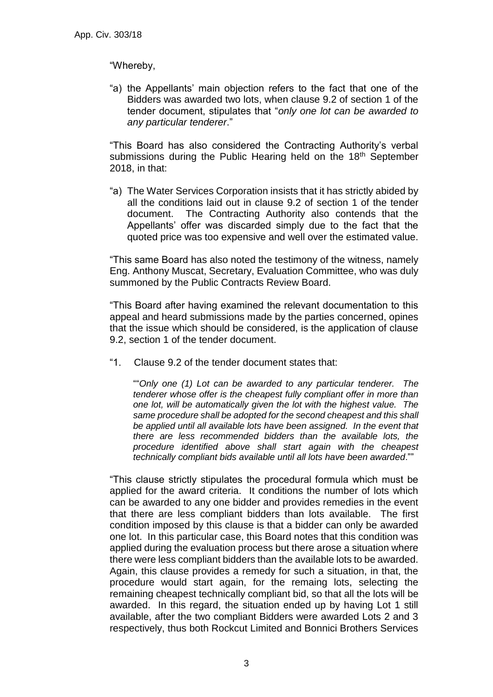#### "Whereby,

"a) the Appellants' main objection refers to the fact that one of the Bidders was awarded two lots, when clause 9.2 of section 1 of the tender document, stipulates that "*only one lot can be awarded to any particular tenderer*."

"This Board has also considered the Contracting Authority's verbal submissions during the Public Hearing held on the 18<sup>th</sup> September 2018, in that:

"a) The Water Services Corporation insists that it has strictly abided by all the conditions laid out in clause 9.2 of section 1 of the tender document. The Contracting Authority also contends that the Appellants' offer was discarded simply due to the fact that the quoted price was too expensive and well over the estimated value.

"This same Board has also noted the testimony of the witness, namely Eng. Anthony Muscat, Secretary, Evaluation Committee, who was duly summoned by the Public Contracts Review Board.

"This Board after having examined the relevant documentation to this appeal and heard submissions made by the parties concerned, opines that the issue which should be considered, is the application of clause 9.2, section 1 of the tender document.

"1. Clause 9.2 of the tender document states that:

""*Only one (1) Lot can be awarded to any particular tenderer. The tenderer whose offer is the cheapest fully compliant offer in more than one lot, will be automatically given the lot with the highest value. The same procedure shall be adopted for the second cheapest and this shall be applied until all available lots have been assigned. In the event that there are less recommended bidders than the available lots, the procedure identified above shall start again with the cheapest technically compliant bids available until all lots have been awarded*.""

"This clause strictly stipulates the procedural formula which must be applied for the award criteria. It conditions the number of lots which can be awarded to any one bidder and provides remedies in the event that there are less compliant bidders than lots available. The first condition imposed by this clause is that a bidder can only be awarded one lot. In this particular case, this Board notes that this condition was applied during the evaluation process but there arose a situation where there were less compliant bidders than the available lots to be awarded. Again, this clause provides a remedy for such a situation, in that, the procedure would start again, for the remaing lots, selecting the remaining cheapest technically compliant bid, so that all the lots will be awarded. In this regard, the situation ended up by having Lot 1 still available, after the two compliant Bidders were awarded Lots 2 and 3 respectively, thus both Rockcut Limited and Bonnici Brothers Services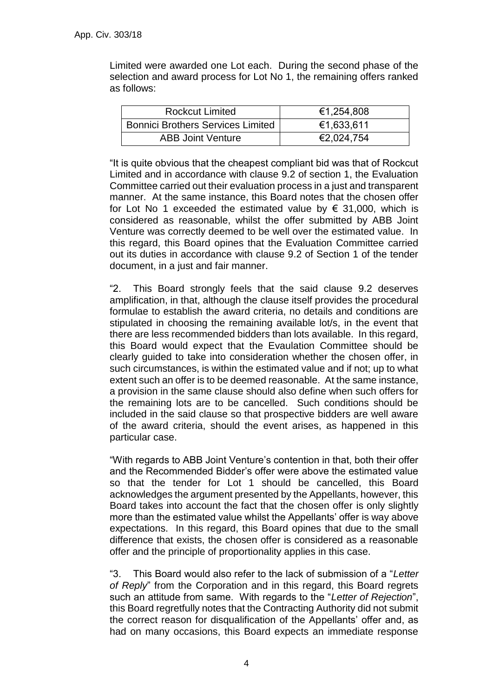Limited were awarded one Lot each. During the second phase of the selection and award process for Lot No 1, the remaining offers ranked as follows:

| <b>Rockcut Limited</b>                   | €1,254,808 |
|------------------------------------------|------------|
| <b>Bonnici Brothers Services Limited</b> | €1,633,611 |
| <b>ABB Joint Venture</b>                 | €2,024,754 |

"It is quite obvious that the cheapest compliant bid was that of Rockcut Limited and in accordance with clause 9.2 of section 1, the Evaluation Committee carried out their evaluation process in a just and transparent manner. At the same instance, this Board notes that the chosen offer for Lot No 1 exceeded the estimated value by  $\epsilon$  31,000, which is considered as reasonable, whilst the offer submitted by ABB Joint Venture was correctly deemed to be well over the estimated value. In this regard, this Board opines that the Evaluation Committee carried out its duties in accordance with clause 9.2 of Section 1 of the tender document, in a just and fair manner.

"2. This Board strongly feels that the said clause 9.2 deserves amplification, in that, although the clause itself provides the procedural formulae to establish the award criteria, no details and conditions are stipulated in choosing the remaining available lot/s, in the event that there are less recommended bidders than lots available. In this regard, this Board would expect that the Evaulation Committee should be clearly guided to take into consideration whether the chosen offer, in such circumstances, is within the estimated value and if not; up to what extent such an offer is to be deemed reasonable. At the same instance, a provision in the same clause should also define when such offers for the remaining lots are to be cancelled. Such conditions should be included in the said clause so that prospective bidders are well aware of the award criteria, should the event arises, as happened in this particular case.

"With regards to ABB Joint Venture's contention in that, both their offer and the Recommended Bidder's offer were above the estimated value so that the tender for Lot 1 should be cancelled, this Board acknowledges the argument presented by the Appellants, however, this Board takes into account the fact that the chosen offer is only slightly more than the estimated value whilst the Appellants' offer is way above expectations. In this regard, this Board opines that due to the small difference that exists, the chosen offer is considered as a reasonable offer and the principle of proportionality applies in this case.

"3. This Board would also refer to the lack of submission of a "*Letter of Reply*" from the Corporation and in this regard, this Board regrets such an attitude from same. With regards to the "*Letter of Rejection*", this Board regretfully notes that the Contracting Authority did not submit the correct reason for disqualification of the Appellants' offer and, as had on many occasions, this Board expects an immediate response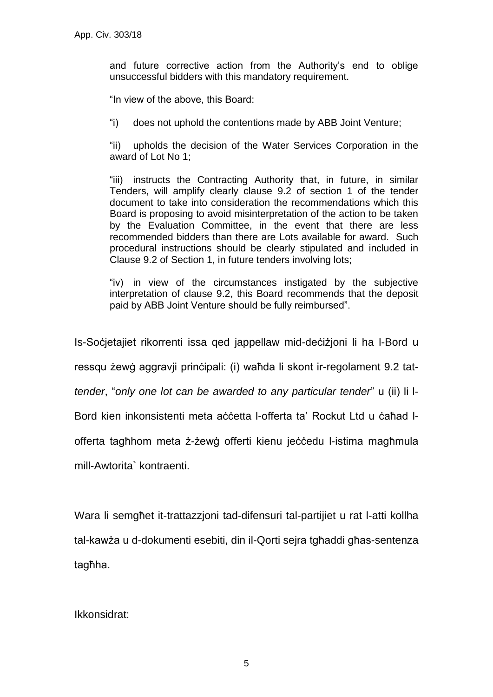and future corrective action from the Authority's end to oblige unsuccessful bidders with this mandatory requirement.

"In view of the above, this Board:

"i) does not uphold the contentions made by ABB Joint Venture;

"ii) upholds the decision of the Water Services Corporation in the award of Lot No 1;

"iii) instructs the Contracting Authority that, in future, in similar Tenders, will amplify clearly clause 9.2 of section 1 of the tender document to take into consideration the recommendations which this Board is proposing to avoid misinterpretation of the action to be taken by the Evaluation Committee, in the event that there are less recommended bidders than there are Lots available for award. Such procedural instructions should be clearly stipulated and included in Clause 9.2 of Section 1, in future tenders involving lots;

"iv) in view of the circumstances instigated by the subjective interpretation of clause 9.2, this Board recommends that the deposit paid by ABB Joint Venture should be fully reimbursed".

Is-Soċjetajiet rikorrenti issa qed jappellaw mid-deċiżjoni li ha l-Bord u

ressqu żewġ aggravji prinċipali: (i) waħda li skont ir-regolament 9.2 tat-

*tender*, "*only one lot can be awarded to any particular tender*" u (ii) li l-

Bord kien inkonsistenti meta aċċetta l-offerta ta' Rockut Ltd u ċaħad l-

offerta tagħhom meta ż-żewġ offerti kienu jeċċedu l-istima magħmula

mill-Awtorita` kontraenti.

Wara li semgħet it-trattazzjoni tad-difensuri tal-partijiet u rat l-atti kollha tal-kawża u d-dokumenti esebiti, din il-Qorti sejra tgħaddi għas-sentenza tagħha.

Ikkonsidrat: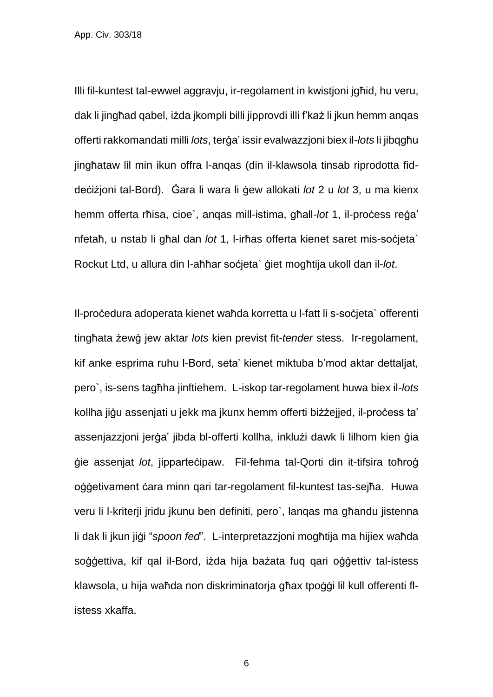Illi fil-kuntest tal-ewwel aggravju, ir-regolament in kwistjoni jgħid, hu veru, dak li jingħad qabel, iżda jkompli billi jipprovdi illi f'każ li jkun hemm anqas offerti rakkomandati milli *lots*, terġa' issir evalwazzjoni biex il-*lots* li jibqgħu jingħataw lil min ikun offra l-anqas (din il-klawsola tinsab riprodotta fiddeċiżjoni tal-Bord). Ġara li wara li ġew allokati *lot* 2 u *lot* 3, u ma kienx hemm offerta rħisa, cioe`, anqas mill-istima, għall-*lot* 1, il-proċess reġa' nfetaħ, u nstab li għal dan *lot* 1, l-irħas offerta kienet saret mis-soċjeta` Rockut Ltd, u allura din l-aħħar soċjeta` ġiet mogħtija ukoll dan il-*lot*.

Il-proċedura adoperata kienet waħda korretta u l-fatt li s-soċjeta` offerenti tingħata żewġ jew aktar *lots* kien previst fit-*tender* stess. Ir-regolament, kif anke esprima ruhu l-Bord, seta' kienet miktuba b'mod aktar dettaljat, pero`, is-sens tagħha jinftiehem. L-iskop tar-regolament huwa biex il-*lots* kollha jigu assenjati u jekk ma jkunx hemm offerti biżżejjed, il-process ta' assenjazzjoni jerġa' jibda bl-offerti kollha, inklużi dawk li lilhom kien ġia ġie assenjat *lot*, jipparteċipaw. Fil-fehma tal-Qorti din it-tifsira toħroġ oġġetivament ċara minn qari tar-regolament fil-kuntest tas-sejħa. Huwa veru li l-kriterji jridu jkunu ben definiti, pero`, lanqas ma għandu jistenna li dak li jkun jiġi "*spoon fed*". L-interpretazzjoni mogħtija ma hijiex waħda soġġettiva, kif qal il-Bord, iżda hija bażata fuq qari oġġettiv tal-istess klawsola, u hija waħda non diskriminatorja għax tpoġġi lil kull offerenti flistess xkaffa.

6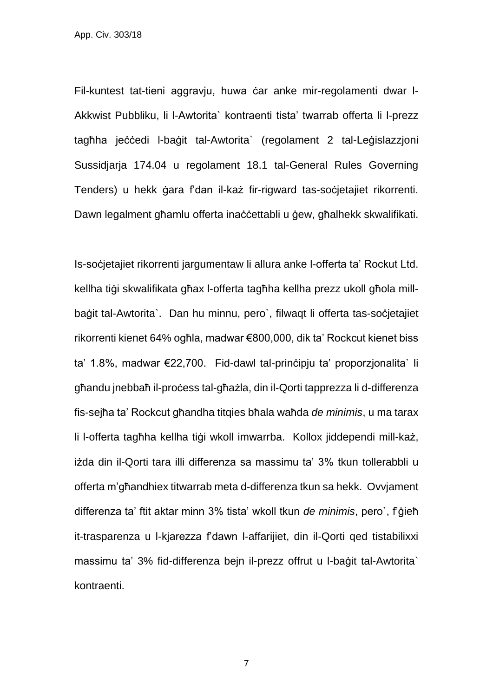Fil-kuntest tat-tieni aggravju, huwa ċar anke mir-regolamenti dwar l-Akkwist Pubbliku, li l-Awtorita` kontraenti tista' twarrab offerta li l-prezz tagħha jeċċedi l-baġit tal-Awtorita` (regolament 2 tal-Leġislazzjoni Sussidjarja 174.04 u regolament 18.1 tal-General Rules Governing Tenders) u hekk ġara f'dan il-każ fir-rigward tas-soċjetajiet rikorrenti. Dawn legalment għamlu offerta inaċċettabli u ġew, għalhekk skwalifikati.

Is-soċjetajiet rikorrenti jargumentaw li allura anke l-offerta ta' Rockut Ltd. kellha tiġi skwalifikata għax l-offerta tagħha kellha prezz ukoll għola millbaġit tal-Awtorita`. Dan hu minnu, pero`, filwagt li offerta tas-soċjetajiet rikorrenti kienet 64% ogħla, madwar €800,000, dik ta' Rockcut kienet biss ta' 1.8%, madwar €22,700. Fid-dawl tal-prinċipju ta' proporzjonalita` li għandu jnebbaħ il-proċess tal-għażla, din il-Qorti tapprezza li d-differenza fis-sejħa ta' Rockcut għandha titqies bħala waħda *de minimis*, u ma tarax li l-offerta tagħha kellha tiġi wkoll imwarrba. Kollox jiddependi mill-każ, iżda din il-Qorti tara illi differenza sa massimu ta' 3% tkun tollerabbli u offerta m'għandhiex titwarrab meta d-differenza tkun sa hekk. Ovvjament differenza ta' ftit aktar minn 3% tista' wkoll tkun *de minimis*, pero`, f'ġieħ it-trasparenza u l-kjarezza f'dawn l-affarijiet, din il-Qorti qed tistabilixxi massimu ta' 3% fid-differenza bejn il-prezz offrut u l-baġit tal-Awtorita` kontraenti.

7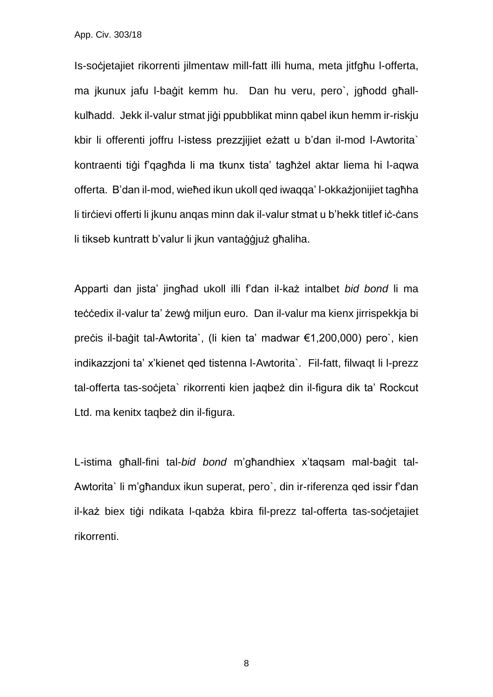Is-soċjetajiet rikorrenti jilmentaw mill-fatt illi huma, meta jitfgħu l-offerta, ma jkunux jafu l-baġit kemm hu. Dan hu veru, pero`, jgħodd għallkulħadd. Jekk il-valur stmat jiġi ppubblikat minn qabel ikun hemm ir-riskju kbir li offerenti joffru l-istess prezzjijiet eżatt u b'dan il-mod l-Awtorita` kontraenti tiġi f'qagħda li ma tkunx tista' tagħżel aktar liema hi l-aqwa offerta. B'dan il-mod, wieħed ikun ukoll qed iwaqqa' l-okkażjonijiet tagħha li tirčievi offerti li jkunu angas minn dak il-valur stmat u b'hekk titlef iċ-ċans li tikseb kuntratt b'valur li jkun vantaġġjuż għaliha.

Apparti dan jista' jingħad ukoll illi f'dan il-każ intalbet *bid bond* li ma teċċedix il-valur ta' żewġ miljun euro. Dan il-valur ma kienx jirrispekkia bi preċis il-baġit tal-Awtorita`, (li kien ta' madwar €1,200,000) pero`, kien indikazzjoni ta' x'kienet qed tistenna l-Awtorita`. Fil-fatt, filwaqt li l-prezz tal-offerta tas-soċjeta` rikorrenti kien jaqbeż din il-figura dik ta' Rockcut Ltd. ma kenitx taqbeż din il-figura.

L-istima għall-fini tal-*bid bond* m'għandhiex x'taqsam mal-baġit tal-Awtorita` li m'għandux ikun superat, pero`, din ir-riferenza qed issir f'dan il-każ biex tiġi ndikata l-qabża kbira fil-prezz tal-offerta tas-soċjetajiet rikorrenti.

8